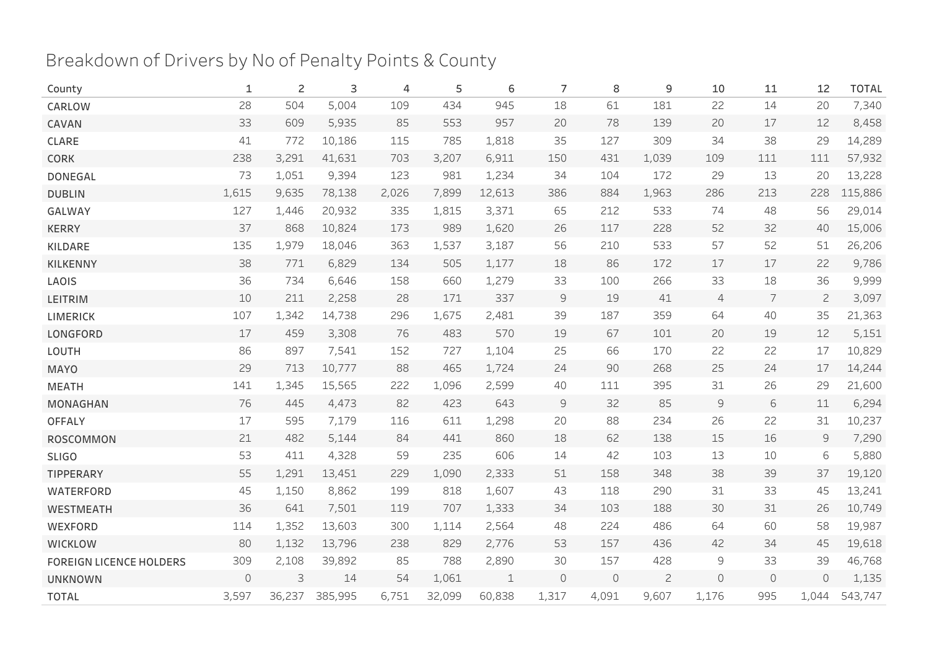## Breakdown of Drivers by No of Penalty Points & County

| County                         | 1                   | $\overline{c}$ | 3       | 4     | 5      | 6           | 7            | 8           | 9              | 10            | 11         | 12            | <b>TOTAL</b> |
|--------------------------------|---------------------|----------------|---------|-------|--------|-------------|--------------|-------------|----------------|---------------|------------|---------------|--------------|
| CARLOW                         | 28                  | 504            | 5,004   | 109   | 434    | 945         | 18           | 61          | 181            | 22            | 14         | 20            | 7,340        |
| CAVAN                          | 33                  | 609            | 5,935   | 85    | 553    | 957         | 20           | 78          | 139            | 20            | 17         | 12            | 8,458        |
| CLARE                          | 41                  | 772            | 10,186  | 115   | 785    | 1,818       | 35           | 127         | 309            | 34            | 38         | 29            | 14,289       |
| <b>CORK</b>                    | 238                 | 3,291          | 41,631  | 703   | 3,207  | 6,911       | 150          | 431         | 1,039          | 109           | 111        | 111           | 57,932       |
| <b>DONEGAL</b>                 | 73                  | 1,051          | 9,394   | 123   | 981    | 1,234       | 34           | 104         | 172            | 29            | 13         | 20            | 13,228       |
| <b>DUBLIN</b>                  | 1,615               | 9,635          | 78,138  | 2,026 | 7,899  | 12,613      | 386          | 884         | 1,963          | 286           | 213        | 228           | 115,886      |
| GALWAY                         | 127                 | 1,446          | 20,932  | 335   | 1,815  | 3,371       | 65           | 212         | 533            | 74            | 48         | 56            | 29,014       |
| <b>KERRY</b>                   | 37                  | 868            | 10,824  | 173   | 989    | 1,620       | 26           | 117         | 228            | 52            | 32         | 40            | 15,006       |
| KILDARE                        | 135                 | 1,979          | 18,046  | 363   | 1,537  | 3,187       | 56           | 210         | 533            | 57            | 52         | 51            | 26,206       |
| <b>KILKENNY</b>                | 38                  | 771            | 6,829   | 134   | 505    | 1,177       | 18           | 86          | 172            | 17            | 17         | 22            | 9,786        |
| LAOIS                          | 36                  | 734            | 6,646   | 158   | 660    | 1,279       | 33           | 100         | 266            | 33            | 18         | 36            | 9,999        |
| LEITRIM                        | 10                  | 211            | 2,258   | 28    | 171    | 337         | $\mathsf{S}$ | 19          | 41             | 4             | 7          | $\mathbf{2}$  | 3,097        |
| <b>LIMERICK</b>                | 107                 | 1,342          | 14,738  | 296   | 1,675  | 2,481       | 39           | 187         | 359            | 64            | 40         | 35            | 21,363       |
| LONGFORD                       | $17$                | 459            | 3,308   | 76    | 483    | 570         | 19           | 67          | 101            | 20            | 19         | 12            | 5,151        |
| LOUTH                          | 86                  | 897            | 7,541   | 152   | 727    | 1,104       | 25           | 66          | 170            | 22            | 22         | 17            | 10,829       |
| <b>MAYO</b>                    | 29                  | 713            | 10,777  | 88    | 465    | 1,724       | 24           | 90          | 268            | 25            | 24         | 17            | 14,244       |
| <b>MEATH</b>                   | 141                 | 1,345          | 15,565  | 222   | 1,096  | 2,599       | 40           | 111         | 395            | 31            | 26         | 29            | 21,600       |
| <b>MONAGHAN</b>                | 76                  | 445            | 4,473   | 82    | 423    | 643         | $\mathsf{S}$ | 32          | 85             | $\mathcal{G}$ | $\sqrt{6}$ | 11            | 6,294        |
| <b>OFFALY</b>                  | 17                  | 595            | 7,179   | 116   | 611    | 1,298       | 20           | 88          | 234            | 26            | 22         | 31            | 10,237       |
| ROSCOMMON                      | 21                  | 482            | 5,144   | 84    | 441    | 860         | 18           | 62          | 138            | 15            | 16         | $\mathcal{G}$ | 7,290        |
| <b>SLIGO</b>                   | 53                  | 411            | 4,328   | 59    | 235    | 606         | 14           | 42          | 103            | 13            | 10         | 6             | 5,880        |
| TIPPERARY                      | 55                  | 1,291          | 13,451  | 229   | 1,090  | 2,333       | 51           | 158         | 348            | 38            | 39         | 37            | 19,120       |
| <b>WATERFORD</b>               | 45                  | 1,150          | 8,862   | 199   | 818    | 1,607       | 43           | 118         | 290            | 31            | 33         | 45            | 13,241       |
| <b>WESTMEATH</b>               | 36                  | 641            | 7,501   | 119   | 707    | 1,333       | 34           | 103         | 188            | 30            | 31         | 26            | 10,749       |
| <b>WEXFORD</b>                 | 114                 | 1,352          | 13,603  | 300   | 1,114  | 2,564       | 48           | 224         | 486            | 64            | 60         | 58            | 19,987       |
| <b>WICKLOW</b>                 | 80                  | 1,132          | 13,796  | 238   | 829    | 2,776       | 53           | 157         | 436            | 42            | 34         | 45            | 19,618       |
| <b>FOREIGN LICENCE HOLDERS</b> | 309                 | 2,108          | 39,892  | 85    | 788    | 2,890       | 30           | 157         | 428            | 9             | 33         | 39            | 46,768       |
| <b>UNKNOWN</b>                 | $\mathsf{O}\xspace$ | $\mathsf 3$    | 14      | 54    | 1,061  | $\mathbf 1$ | $\circ$      | $\mathbb O$ | $\overline{c}$ | $\circ$       | $\circ$    | $\Omega$      | 1,135        |
| <b>TOTAL</b>                   | 3,597               | 36,237         | 385,995 | 6,751 | 32,099 | 60,838      | 1,317        | 4,091       | 9,607          | 1,176         | 995        | 1,044         | 543,747      |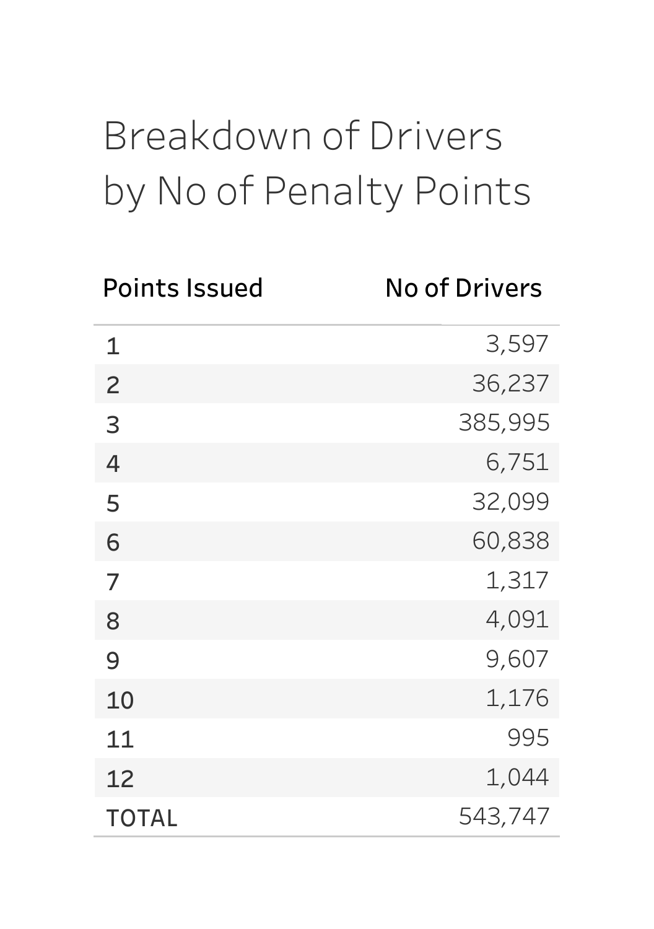## BreakdownofDrivers by No of Penalty Points

| <b>Points Issued</b> | <b>No of Drivers</b> |
|----------------------|----------------------|
| 1                    | 3,597                |
| $\overline{c}$       | 36,237               |
| 3                    | 385,995              |
| 4                    | 6,751                |
| 5                    | 32,099               |
| 6                    | 60,838               |
| 7                    | 1,317                |
| 8                    | 4,091                |
| 9                    | 9,607                |
| 10                   | 1,176                |
| 11                   | 995                  |
| 12                   | 1,044                |
| <b>TOTAL</b>         | 543,747              |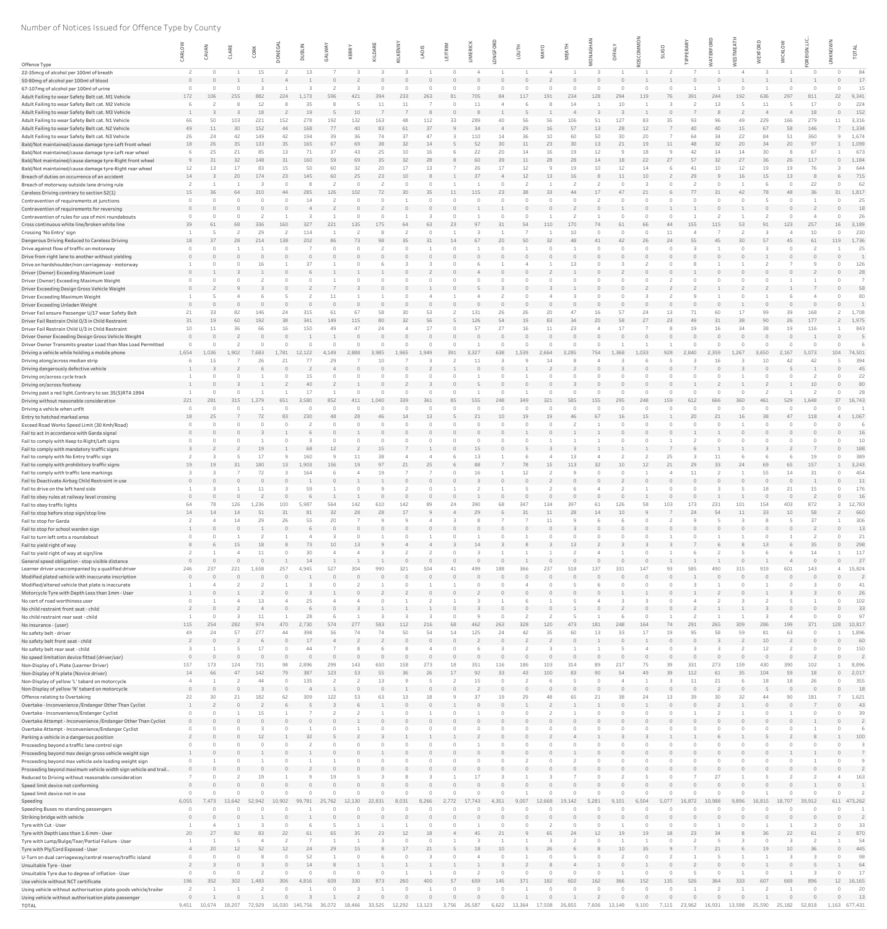## Number of Notices Issued for Offence Type by County

|                                                                                                                   | ARLO     | CAVAN        | CLAR      | CORK       | ONEG.           | <b>DUBLII</b> | ALW       | KERRY     | KILDARI   | <b>LKENN</b> | LAOIS     | EITRI | 흢         | $\circ$  | <b>HLIOT</b> | $\widetilde{\prec}$ |           | ட               | δ                     | <b>SLIGO</b> | ய                        | 요        | ⋖<br>ய          | $\circ$   | <b>WICKLO</b> | REIGN.     | KNO           | $\overline{5}$   |
|-------------------------------------------------------------------------------------------------------------------|----------|--------------|-----------|------------|-----------------|---------------|-----------|-----------|-----------|--------------|-----------|-------|-----------|----------|--------------|---------------------|-----------|-----------------|-----------------------|--------------|--------------------------|----------|-----------------|-----------|---------------|------------|---------------|------------------|
| Offence Type                                                                                                      |          |              |           |            |                 |               |           |           |           |              |           |       |           |          |              |                     |           |                 |                       |              |                          |          | <u>in</u>       |           |               |            |               |                  |
| 22-35mcg of alcohol per 100ml of breath                                                                           |          |              |           | 15         |                 | 13            |           |           |           |              |           |       |           |          |              |                     |           |                 |                       |              |                          |          |                 |           |               |            |               | 84               |
| 50-80mg of alcohol per 100ml of blood                                                                             |          |              |           |            |                 |               |           |           |           |              |           |       |           |          |              |                     |           |                 |                       |              |                          |          |                 |           |               |            |               | 17               |
| 67-107mg of alcohol per 100ml of urine<br>Adult Failing to wear Safety Belt cat. M1 Vehicle                       | 172      | 106          | 255       | 882        | 224             | 1,173         | 596       | 421       | 394       | 233          | 263       | 81    | 705       | 84       | 117          | 191                 | 234       | 128             | 294<br>119            | 76           | 391                      | 244      | 192             | 636       | 297           | 811        | 22            | 15<br>9,341      |
| Adult Failing to wear Safety Belt cat. M2 Vehicle                                                                 |          |              |           |            |                 | 35            |           |           |           |              |           |       |           |          |              |                     |           |                 |                       |              |                          | 13       |                 |           |               |            |               | 224              |
| Adult Failing to wear Safety Belt cat. M3 Vehicle                                                                 |          |              |           | 18         |                 | 19            |           | 10        |           |              |           |       |           |          |              |                     |           |                 |                       |              |                          |          |                 |           |               | 18         |               | 152              |
| Adult Failing to wear Safety Belt cat. N1 Vehicle<br>Adult Failing to wear Safety Belt cat. N2 Vehicle            | 66<br>49 | 50<br>11     | 103<br>30 | 221<br>152 | 152<br>44       | 278<br>168    | 192<br>77 | 132<br>40 | 163<br>83 | 61           | 112<br>37 | 33    | 289<br>34 |          | 56<br>29     | 16                  | 106<br>57 | 13 <sup>7</sup> | 127<br>83<br>28<br>12 | 35           | 93<br>40                 | 96<br>40 | 49<br>15        | 229<br>67 | 58            | 279<br>146 | 11            | 3,316<br>7 1,334 |
| Adult Failing to wear Safety Belt cat. N3 Vehicle                                                                 | 26       | 24           | 42        | 149        | 42              | 194           | 39        |           |           |              |           |       | 110       | 14       | 36           |                     |           |                 | 20                    |              | 64                       | 34       | 22              |           |               | 360        |               | 1,674            |
| Bald/Not maintained/cause damage tyre-Left front wheel                                                            | 18       | 26           | 35        | 133        | 35              | 165           | 67        | -69       |           | 32           | 14        |       | 52        | 30       | 11           | 23                  | 30        | 13              | 21<br>19              | 11           | 48                       | 32       | 20              | 34        | 20            | 97         |               | 1,099            |
| Bald/Not maintained/cause damage tyre-Left rear wheel                                                             |          | 25<br>31     | 21<br>32  | 85<br>148  | 13<br>31        | 71<br>160     | 37<br>59  | 43<br>69  | 25<br>35  | 10<br>32     | 16<br>28  |       | 22<br>60  | 20<br>39 | 14<br>11     | 16<br>28            | 19<br>28  | 12<br>14        | 18<br>22<br>18        | 27           | 42<br><sup>Q</sup><br>57 | 14<br>32 | 14<br>27        | 30<br>36  | 26            | 67<br>117  |               | 673<br>1,184     |
| Bald/Not maintained/cause damage tyre-Right front wheel<br>Bald/Not maintained/cause damage tyre-Right rear wheel | 12       | 13           |           | 83         | 15              | 50            | 60        |           |           |              | 13        |       | 26        | 17       | 12           |                     |           |                 | 12                    |              | 41                       |          |                 |           |               |            |               | 644              |
| Breach of duties on occurrence of an accident                                                                     | 14       |              | 20        | 174        | 23              | 145           | 60        |           | 23        | 10           |           |       | 37        |          | 12           | 13                  | 16        |                 | 11<br>10              |              | 29                       |          |                 | 15        | 13            |            |               | 715              |
| Breach of motorway outside lane driving rule                                                                      |          |              |           |            |                 |               |           |           |           |              |           |       |           |          |              |                     |           |                 |                       |              |                          |          |                 |           |               | 22         |               | 62               |
| Careless Driving contrary to section 52(1)<br>Contravention of requirements at junctions                          | 15       | 36           | -64       | 310        | 44              | 285           | 126       | 102       |           | 30           | 35        | 11    | 115       | 23       | 38           | 33                  |           |                 | 21                    |              |                          | 31       | 42              | -78       |               |            | 31            | 1,817<br>25      |
| Contravention of requirements for reversing                                                                       |          |              |           |            |                 |               |           |           |           |              |           |       |           |          |              |                     |           |                 |                       |              |                          |          |                 |           |               |            |               | 18               |
| Contravention of rules for use of mini roundabouts                                                                |          |              |           |            |                 |               |           |           |           |              |           |       |           |          |              |                     |           |                 |                       |              |                          |          |                 |           |               |            |               | 26               |
| Cross continuous white line/broken white line                                                                     | 39       | 61           | 68        | 336        | 160             | 327           | 221       | 135       | 175       | 64           | 63        | 23    | 97        | 31       | 54           | 110                 | 170       | 74              | 66                    | 44           | 155                      | 115      | 53              | 91        | 123           | 257        | 16            | 3,189            |
| Crossing 'No Entry' sign<br>Dangerous Driving Reduced to Careless Driving                                         | 18       | 37           | 28        | 214        | 138             | 114<br>202    | -86       | 73        | 98        | 35           | 31        | 14    | 67        | 20       | 50           | 32                  | -48       |                 | 26<br>42              | 24           | 55                       | 45       | 30              | 57        | -45           | 10<br>61   | 119           | 230<br>1,736     |
| Drive against flow of traffic on motorway                                                                         |          |              |           |            |                 |               |           |           |           |              |           |       |           |          |              |                     |           |                 |                       |              |                          |          |                 |           |               |            |               | 25               |
| Drive from right lane to another without yielding                                                                 |          |              |           |            |                 |               |           |           |           |              |           |       |           |          |              |                     |           |                 |                       |              |                          |          |                 |           |               |            |               |                  |
| Drive on hardshoulder/non carriageway - motorway                                                                  | $\cap$   |              |           |            |                 |               |           |           |           |              |           |       |           |          |              |                     |           |                 |                       |              |                          |          |                 |           |               |            |               | 126<br>28        |
| Driver (Owner) Exceeding Maximum Load<br>Driver (Owner) Exceeding Maximum Weight                                  |          |              |           |            |                 |               |           |           |           |              |           |       |           |          |              |                     |           |                 |                       |              |                          |          |                 |           |               |            |               |                  |
| Driver Exceeding Design Gross Vehicle Weight                                                                      |          |              |           |            |                 |               |           |           |           |              |           |       |           |          |              |                     |           |                 |                       |              |                          |          |                 |           |               |            |               | 58               |
| Driver Exceeding Maximum Weight                                                                                   |          |              |           |            |                 |               |           |           |           |              |           |       |           |          |              |                     |           |                 |                       |              |                          |          |                 |           |               |            |               | 80               |
| Driver Exceeding Unladen Weight<br>Driver Fail ensure Passenger U/17 wear Safety Belt                             | 21       | 33           | 82        |            |                 | 315           |           |           |           |              | 53        |       | 131       | 26       |              |                     |           |                 |                       |              |                          |          |                 |           |               |            |               | 1,708            |
| Driver Fail Restrain Child 0/3 in Child Restraint                                                                 | 31       | 19           | 60        | 192        | 38              | 341           | 149       | 115       | 80        | スフ           | 56        |       | 126       | 54       | 19           | 83                  |           | 20              | 58<br>27              | 23           | 49                       | 31       | 38              | 90        |               | 177        |               | 2 1,975          |
| Driver Fail Restrain Child U/3 in Child Restraint                                                                 | 10       | 11           | 36        | 66         | 16              | 150           | 49        | 47        |           |              | 17        |       | 57        | 27       |              | 11                  | 23        |                 |                       |              | 19                       | 16       | 34              |           |               | 116        |               | 843              |
| Driver Owner Exceeding Design Gross Vehicle Weight                                                                |          |              |           |            |                 |               |           |           |           |              |           |       |           |          |              |                     |           |                 |                       |              |                          |          |                 |           |               |            |               |                  |
| Driver Owner Transmits greater Load than Max Load Permitted<br>Driving a vehicle while holding a mobile phone     | 1,654    | 1,036        | 902       | 7.683      | L,781           | 12,122        | 4,149     | 2,888     | :,985     | 1,965        | 1,949     | 391   | 3,327     | 638      | 1,539        | 2,664               | 3,285     | 754<br>1,368    | 1,033                 | 928          | 2,840                    | 2,359    | 1,267           | 3,650     | 2,167         | 5,073      | 104           | 74,501           |
| Driving along/across median strip                                                                                 |          | 15           |           |            |                 |               | 29        |           |           |              |           |       | 11        |          |              |                     |           |                 |                       |              |                          |          |                 |           |               |            |               | 394              |
| Driving dangerously defective vehicle                                                                             |          |              |           |            |                 |               |           |           |           |              |           |       |           |          |              |                     |           |                 |                       |              |                          |          |                 |           |               |            |               | 45               |
| Driving on/across cycle track                                                                                     |          |              |           |            |                 | 40            |           |           |           |              |           |       |           |          |              |                     |           |                 |                       |              |                          |          |                 |           |               | 10         |               | 22<br>80         |
| Driving on/across footway<br>Driving past a red light. Contrary to sec 35(5)RTA 1994                              |          |              |           |            |                 | 17            |           |           |           |              |           |       |           |          |              |                     |           |                 |                       |              |                          |          |                 |           |               |            |               | 28               |
| Driving without reasonable consideration                                                                          | 221      | 281          | 315       | 1,379      | 651             | 3.580         | 852       | 411       | 1.040     | 339          | 361       | 85    | 555       | 248      | 349          | 321                 | 585       | 155             | 295<br>248            | 159          | 612                      | 666      | 360             | 461       | 529           | 1.648      | 37            | 16,743           |
| Driving a vehicle when unfit                                                                                      |          |              |           |            |                 |               |           |           |           |              |           |       |           |          |              |                     |           |                 |                       |              |                          |          |                 |           |               |            |               |                  |
| Entry to hatched marked area<br>Exceed Road Works Speed Limit (30 Kmh/Road)                                       | 18       | 25           |           |            | 83              | 230           | -48       |           |           |              | 13        |       | 21        | 10       | 19           | 19                  |           |                 | 16<br>15              |              | 20                       |          |                 |           | 47            | 118        |               | 1,067            |
| Fail to act in accordance with Garda signal                                                                       |          |              |           |            |                 |               |           |           |           |              |           |       |           |          |              |                     |           |                 |                       |              |                          |          |                 |           |               |            |               | 16               |
| Fail to comply with Keep to Right/Left signs                                                                      |          |              |           |            |                 |               |           |           |           |              |           |       |           |          |              |                     |           |                 |                       |              |                          |          |                 |           |               |            |               | 10               |
| Fail to comply with mandatory traffic signs                                                                       |          |              |           | 17         |                 | 68<br>160     | 12<br>- q |           | 15<br>38  |              |           |       | 15<br>13  |          |              |                     |           |                 |                       | 25           |                          | 11       |                 |           |               | 19         |               | 188<br>389       |
| Fail to comply with No Entry traffic sign<br>Fail to comply with prohibitory traffic signs                        | 19       | 19           | 31        | 180        | 13              | 1,903         | 156       | 19        |           |              | 25        |       | 88        |          | 78           | 15                  | 113       | 32 <sub>2</sub> | 10<br>12              | 21           | 29                       | 33       |                 | 69        | -65           | 157        |               | 3,243            |
| Fail to comply with traffic lane markings                                                                         |          |              |           |            |                 | 164           |           |           |           |              |           |       |           |          |              |                     |           |                 |                       |              |                          |          |                 |           |               |            |               | 454              |
| Fail to Deactivate Airbag Child Restraint in use                                                                  |          |              |           |            |                 |               |           |           |           |              |           |       |           |          |              |                     |           |                 |                       |              |                          |          |                 |           |               |            |               | 11               |
| Fail to drive on the left hand side<br>Fail to obey rules at railway level crossing                               |          |              |           |            |                 | 59            |           |           |           |              |           |       |           |          |              |                     |           |                 |                       |              |                          |          |                 | 18        | 21            | 15         |               | 176<br>16        |
| Fail to obey traffic lights                                                                                       | 64       |              |           |            |                 |               | 564       | 142       |           |              |           |       | 390       |          |              | 134                 | 39.       |                 |                       |              | 173                      |          |                 | 154       |               |            |               | 12,783           |
| Fail to stop before stop sign/stop line                                                                           | 14       | 14           | 14        | 51         | 31              | 81            | 32        | 28        | 28        | 17           |           |       | 29        |          | 31           | 11                  | 28        | 14              | 10<br>$\Omega$        |              | 24                       | 54       | 11              | 33        | 10            | 58         |               | 660              |
| Fail to stop for Garda                                                                                            |          |              | 14        | 29         | 26              | 55            |           |           |           |              |           |       |           |          |              |                     |           |                 |                       |              |                          |          |                 |           |               | 37         |               | 306              |
| Fail to stop for school warden sign<br>Fail to turn left onto a roundabout                                        |          |              |           |            |                 |               |           |           |           |              |           |       |           |          |              |                     |           |                 |                       |              |                          |          |                 |           |               |            |               | 13<br>21         |
| Fail to yield right of way                                                                                        |          |              | 15        |            |                 | 73            |           |           |           |              |           |       |           |          |              |                     | 13        |                 |                       |              |                          |          |                 | 13        |               |            |               | 298              |
| Fail to yield right of way at sign/line                                                                           |          |              |           |            |                 | 30            |           |           |           |              |           |       |           |          |              |                     |           |                 |                       |              |                          |          |                 |           |               |            |               | 117              |
| General speed obligation - stop visible distance                                                                  | 246      | 237          | 221       | L,658      | 257             |               | 527       |           |           |              |           |       | 499       |          |              |                     |           | 137             |                       |              |                          |          |                 |           |               | 143        |               | 27<br>15,824     |
| Learner driver unaccompanied by a qualified driver<br>Modified plated vehicle with inaccurate inscription         | $\Omega$ |              |           |            |                 |               |           |           |           |              |           |       |           |          |              |                     |           |                 |                       |              |                          |          |                 |           |               |            |               |                  |
| Modified/altered vehicle that plate is inaccurate                                                                 |          |              |           |            |                 |               |           |           |           |              |           |       |           |          |              |                     |           |                 |                       |              |                          |          |                 |           |               |            |               | 41               |
| Motorcycle Tyre with Depth Less than 1mm - User                                                                   |          |              |           |            |                 |               |           |           |           |              |           |       |           |          |              |                     |           |                 |                       |              |                          |          |                 |           |               |            |               | 26               |
| No cert of road worthiness user<br>No child restraint front seat - child                                          |          |              |           |            |                 | 25            |           |           |           |              |           |       |           |          |              |                     |           |                 |                       |              |                          |          |                 |           |               |            |               | 102<br>33        |
| No child restraint rear seat - child                                                                              |          |              |           |            |                 | 28            |           |           |           |              |           |       |           |          |              |                     |           |                 |                       |              |                          |          |                 |           |               |            |               | 97               |
| No insurance - (user)                                                                                             | 115      | 254          | 282       | 974        | 470             | 2.730         | 574       | 277       | 583       | 112          | 216       | 68    | 462       | 263      | 328          | 120                 | 473       | 181             | 248<br>164            | 74           | 291                      | 265      | 309             | 286       | 199           | 371        | 128           | 10,817           |
| No safety belt - driver                                                                                           | 49       | 24           | 57        | 277        |                 | 398<br>17     | 56        |           |           | 50           | 54        | 14    | 125       | 24       | 42           | 35                  | 60        | 13              | 33<br>17              | 19           | 95                       | 58       | 59              | 81<br>10  | 63            |            |               | 1,896<br>60      |
| No safety belt front seat - child<br>No safety belt rear seat - child                                             |          |              |           |            |                 |               |           |           |           |              |           |       |           |          |              |                     |           |                 |                       |              |                          |          |                 |           |               |            |               | 150              |
| No speed limitation device fitted (driver/usr)                                                                    |          |              |           |            |                 |               |           |           |           |              |           |       |           |          |              |                     |           |                 |                       |              |                          |          |                 |           |               |            |               |                  |
| Non-Display of L Plate (Learner Driver)                                                                           | 157      | 173          | 124       | 731        | 98              | 2,896         | 299       | 143       | 650       | 158          | 273       | 18    | 351       | 116      | 186          | 103                 | 314       |                 | 75<br>217             | 39           | 331                      | 273      | 159             | 430       | 390           | 102        |               | 8,896            |
| Non-Display of N plate (Novice driver)<br>Non-Display of yellow 'L' tabard on motorcycle                          | 14       | 66           | 47        | 142<br>44  | 79              | 387<br>135    | 123       | 53        | 55        | 36           | 26        | 17    | 92        | 33       | 43           | 100                 | -83       | 90              | 54<br>49              | 39           | 112                      | 61       | 35              | 104       | 59            | 18         |               | 2,017<br>355     |
| Non-Display of yellow 'N' tabard on motorcycle                                                                    |          |              |           |            |                 |               |           |           |           |              |           |       |           |          |              |                     |           |                 |                       |              |                          |          |                 |           |               |            |               | 18               |
| Offence relating to Overtaking                                                                                    | 22       | 30           | 21        | 182        | 62              | 309           | 122       |           | 63        | 13           | 18        |       | 37        | 19       | 29           | 48                  |           |                 | 38<br>24              | 13           | 39                       | 30       | 32 <sup>2</sup> |           | Q(            | 181        |               | 1,621            |
| Overtake - Inconvenience / Endanger Other Than Cyclist                                                            |          |              |           |            |                 |               |           |           |           |              |           |       |           |          |              |                     |           |                 |                       |              |                          |          |                 |           |               |            |               | 43               |
| Overtake - Inconvenience/Endanger Cyclist<br>Overtake Attempt - Inconvenience / Endanger Other Than Cyclist       |          |              |           |            |                 |               |           |           |           |              |           |       |           |          |              |                     |           |                 |                       |              |                          |          |                 |           |               |            |               | 39               |
| Overtake Attempt - Inconvenience/Endanger Cyclist                                                                 |          |              |           |            |                 |               |           |           |           |              |           |       |           |          |              |                     |           |                 |                       |              |                          |          |                 |           |               |            |               |                  |
| Parking a vehicle in a dangerous position                                                                         |          |              |           |            |                 | 32            |           |           |           |              |           |       |           |          |              |                     |           |                 |                       |              |                          |          |                 |           |               |            |               | 100              |
| Proceeding beyond a traffic lane control sign                                                                     |          |              |           |            |                 |               |           |           |           |              |           |       |           |          |              |                     |           |                 |                       |              |                          |          |                 |           |               |            |               |                  |
| Proceeding beyond max design gross vehicle weight sign<br>Proceeding beyond max vehicle axle loading weight sign  |          |              |           |            |                 |               |           |           |           |              |           |       |           |          |              |                     |           |                 |                       |              |                          |          |                 |           |               |            |               |                  |
| Proceeding beyond maximum vehicle width sign vehicle and trail                                                    |          |              |           |            |                 |               |           |           |           |              |           |       |           |          |              |                     |           |                 |                       |              |                          |          |                 |           |               |            |               |                  |
| Reduced to Driving without reasonable consideration                                                               |          |              |           |            |                 |               |           |           |           |              |           |       |           |          |              |                     |           |                 |                       |              |                          |          |                 |           |               |            |               | 163              |
| Speed limit device not conforming<br>Speed limit device not in use                                                |          |              |           |            |                 |               |           |           |           |              |           |       |           |          |              |                     |           |                 |                       |              |                          |          |                 |           |               |            |               |                  |
| Speeding                                                                                                          | 6,055    | 7,473        | 13,642    | 52,942     | 10,902          | 99,781        | 25,762    | 12,130    | 22,831    | 8,031        | 8,266     | 2,772 | 17,743    | 4,351    | 9,007        | 12,668              | 19,142    | 5,281<br>9,101  | 6,504                 | 5,077        | 16,872                   | 10,988   | 9,896           | 16,815    | 18,707        | 39,912     |               | 611 473,262      |
| Speeding Buses no standing passengers                                                                             |          |              |           |            |                 |               |           |           |           |              |           |       |           |          |              |                     |           |                 |                       |              |                          |          |                 |           |               |            |               |                  |
| Striking bridge with vehicle                                                                                      |          |              |           |            |                 |               |           |           |           |              |           |       |           |          |              |                     |           |                 |                       |              |                          |          |                 |           |               |            |               |                  |
| Tyre with Cut - User<br>Tyre with Depth Less than 1.6 mm - User                                                   | 20       | 27           | 82        | 83         |                 | 61            | 65        |           |           | 12           | 18        |       |           |          |              |                     |           |                 | 19<br>19              | 18           | 23                       |          |                 |           |               |            |               | 33<br>870        |
| Tyre with Lump/Bulge/Tear/Partial Failure - User                                                                  |          |              |           |            |                 |               |           |           |           |              |           |       |           |          |              |                     |           |                 |                       |              |                          |          |                 |           |               |            |               | 54               |
| Tyre with Ply/Cord Exposed - User                                                                                 |          | 20           | 12        | 52         | 12 <sup>2</sup> | 24            | 29        | 15        |           | 17           | 21        |       | 18        | $10^{-}$ |              |                     |           |                 | 10<br>35              |              |                          |          |                 | 19        | 10            |            |               | 445              |
| U-Turn on dual carriageway/central reserve/traffic island                                                         |          |              |           |            |                 | 52            |           |           |           |              |           |       |           |          |              |                     |           |                 |                       |              |                          |          |                 |           |               |            |               | 98<br>64         |
| Unsuitable Tyre - User<br>Unsuitable Tyre due to degree of inflation - User                                       |          |              |           |            |                 |               |           |           |           |              |           |       |           |          |              |                     |           |                 |                       |              |                          |          |                 |           |               |            |               | 17               |
| Use vehicle without NCT certificate                                                                               | 196      | 352          | 302       | 1,483      | 306             | 4,816         | 609       | 330       | 873       | 260          | 400       | 57    | 659       | 145      | 371          | 182                 | 602       | 162             | 366<br>152            | 135          | 526                      | 364      | 333             | 607       | 669           | 896        |               | 12 16,165        |
| Using vehicle without authorisation plate goods vehicle/trailer                                                   |          |              |           |            |                 |               |           |           |           |              |           |       |           |          |              |                     |           |                 |                       |              |                          |          |                 |           |               |            |               | 20               |
| Using vehicle without authorisation plate passenger<br>TOTAL                                                      | $\Omega$ | 9,451 10,674 | 18,207    | 72,929     | 16,030          | 145,756       | 36,072    | 18,466    | 33,525    | 12,292       | 13,123    | 3,756 | 26,587    | 6,622    | 13,364       | 17,508              | 26,855    | 7,606<br>13,149 | 9,100                 | 7,115        | 23,962                   | 16,931   | 13,598          | 25,590    | 25,182 52,818 |            | 1,163 677,431 | 13               |